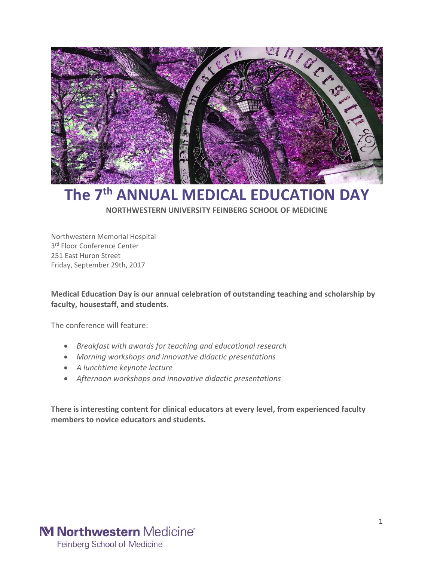

# **The 7 th ANNUAL MEDICAL EDUCATION DAY**

**NORTHWESTERN UNIVERSITY FEINBERG SCHOOL OF MEDICINE**

Northwestern Memorial Hospital 3<sup>rd</sup> Floor Conference Center 251 East Huron Street Friday, September 29th, 2017

**Medical Education Day is our annual celebration of outstanding teaching and scholarship by faculty, housestaff, and students.**

The conference will feature:

- *Breakfast with awards for teaching and educational research*
- *Morning workshops and innovative didactic presentations*
- *A lunchtime keynote lecture*
- *Afternoon workshops and innovative didactic presentations*

**There is interesting content for clinical educators at every level, from experienced faculty members to novice educators and students.**

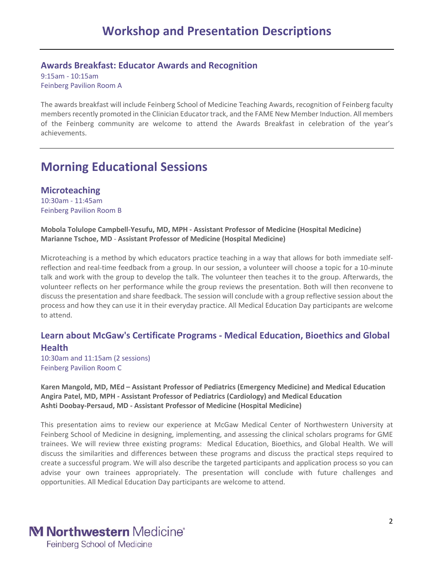# **Awards Breakfast: Educator Awards and Recognition**

9:15am - 10:15am Feinberg Pavilion Room A

The awards breakfast will include Feinberg School of Medicine Teaching Awards, recognition of Feinberg faculty members recently promoted in the Clinician Educator track, and the FAME New Member Induction. All members of the Feinberg community are welcome to attend the Awards Breakfast in celebration of the year's achievements.

# **Morning Educational Sessions**

**Microteaching** 10:30am - 11:45am Feinberg Pavilion Room B

**Mobola Tolulope Campbell-Yesufu, MD, MPH - Assistant Professor of Medicine (Hospital Medicine) Marianne Tschoe, MD** - **Assistant Professor of Medicine (Hospital Medicine)**

Microteaching is a method by which educators practice teaching in a way that allows for both immediate selfreflection and real-time feedback from a group. In our session, a volunteer will choose a topic for a 10-minute talk and work with the group to develop the talk. The volunteer then teaches it to the group. Afterwards, the volunteer reflects on her performance while the group reviews the presentation. Both will then reconvene to discuss the presentation and share feedback. The session will conclude with a group reflective session about the process and how they can use it in their everyday practice. All Medical Education Day participants are welcome to attend.

# **Learn about McGaw's Certificate Programs - Medical Education, Bioethics and Global Health**

10:30am and 11:15am (2 sessions) Feinberg Pavilion Room C

**Karen Mangold, MD, MEd – Assistant Professor of Pediatrics (Emergency Medicine) and Medical Education Angira Patel, MD, MPH - Assistant Professor of Pediatrics (Cardiology) and Medical Education Ashti Doobay-Persaud, MD - Assistant Professor of Medicine (Hospital Medicine)**

This presentation aims to review our experience at McGaw Medical Center of Northwestern University at Feinberg School of Medicine in designing, implementing, and assessing the clinical scholars programs for GME trainees. We will review three existing programs: Medical Education, Bioethics, and Global Health. We will discuss the similarities and differences between these programs and discuss the practical steps required to create a successful program. We will also describe the targeted participants and application process so you can advise your own trainees appropriately. The presentation will conclude with future challenges and opportunities. All Medical Education Day participants are welcome to attend.

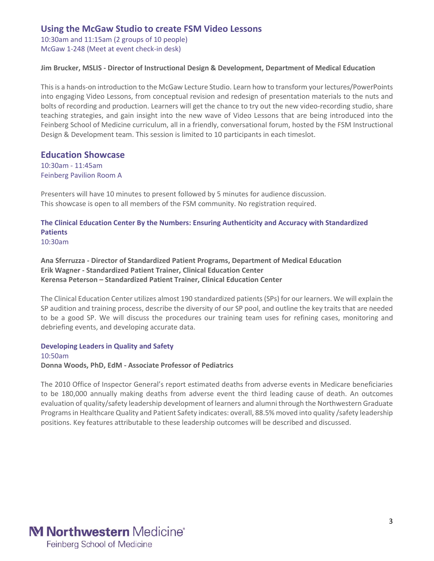# **Using the McGaw Studio to create FSM Video Lessons**

10:30am and 11:15am (2 groups of 10 people) McGaw 1-248 (Meet at event check-in desk)

#### **Jim Brucker, MSLIS - Director of Instructional Design & Development, Department of Medical Education**

Thisis a hands-on introduction to the McGaw Lecture Studio. Learn how to transform your lectures/PowerPoints into engaging Video Lessons, from conceptual revision and redesign of presentation materials to the nuts and bolts of recording and production. Learners will get the chance to try out the new video-recording studio, share teaching strategies, and gain insight into the new wave of Video Lessons that are being introduced into the Feinberg School of Medicine curriculum, all in a friendly, conversational forum, hosted by the FSM Instructional Design & Development team. This session is limited to 10 participants in each timeslot.

### **Education Showcase**

10:30am - 11:45am Feinberg Pavilion Room A

Presenters will have 10 minutes to present followed by 5 minutes for audience discussion. This showcase is open to all members of the FSM community. No registration required.

# **The Clinical Education Center By the Numbers: Ensuring Authenticity and Accuracy with Standardized Patients**

10:30am

**Ana Sferruzza - Director of Standardized Patient Programs, Department of Medical Education Erik Wagner - Standardized Patient Trainer, Clinical Education Center Kerensa Peterson – Standardized Patient Trainer, Clinical Education Center**

The Clinical Education Center utilizes almost 190 standardized patients (SPs) for our learners. We will explain the SP audition and training process, describe the diversity of our SP pool, and outline the key traits that are needed to be a good SP. We will discuss the procedures our training team uses for refining cases, monitoring and debriefing events, and developing accurate data.

#### **Developing Leaders in Quality and Safety**

10:50am **Donna Woods, PhD, EdM - Associate Professor of Pediatrics**

The 2010 Office of Inspector General's report estimated deaths from adverse events in Medicare beneficiaries to be 180,000 annually making deaths from adverse event the third leading cause of death. An outcomes evaluation of quality/safety leadership development of learners and alumni through the Northwestern Graduate Programs in Healthcare Quality and Patient Safety indicates: overall, 88.5% moved into quality /safety leadership positions. Key features attributable to these leadership outcomes will be described and discussed.

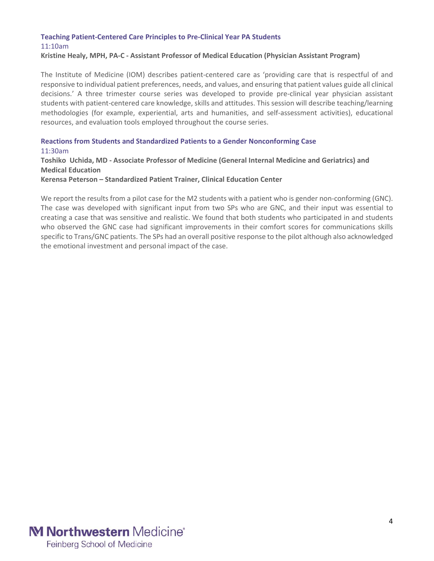# **Teaching Patient-Centered Care Principles to Pre-Clinical Year PA Students** 11:10am

#### **Kristine Healy, MPH, PA-C - Assistant Professor of Medical Education (Physician Assistant Program)**

The Institute of Medicine (IOM) describes patient-centered care as 'providing care that is respectful of and responsive to individual patient preferences, needs, and values, and ensuring that patient values guide all clinical decisions.' A three trimester course series was developed to provide pre-clinical year physician assistant students with patient-centered care knowledge, skills and attitudes. This session will describe teaching/learning methodologies (for example, experiential, arts and humanities, and self-assessment activities), educational resources, and evaluation tools employed throughout the course series.

### **Reactions from Students and Standardized Patients to a Gender Nonconforming Case** 11:30am

### **Toshiko Uchida, MD - Associate Professor of Medicine (General Internal Medicine and Geriatrics) and Medical Education**

#### **Kerensa Peterson – Standardized Patient Trainer, Clinical Education Center**

We report the results from a pilot case for the M2 students with a patient who is gender non-conforming (GNC). The case was developed with significant input from two SPs who are GNC, and their input was essential to creating a case that was sensitive and realistic. We found that both students who participated in and students who observed the GNC case had significant improvements in their comfort scores for communications skills specific to Trans/GNC patients. The SPs had an overall positive response to the pilot although also acknowledged the emotional investment and personal impact of the case.

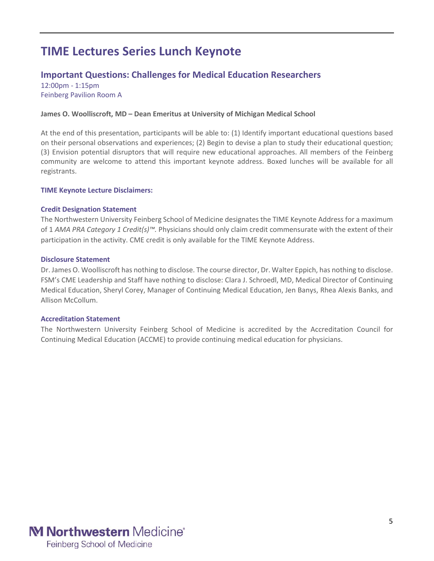# **TIME Lectures Series Lunch Keynote**

# **Important Questions: Challenges for Medical Education Researchers**

12:00pm - 1:15pm Feinberg Pavilion Room A

#### **James O. Woolliscroft, MD – Dean Emeritus at University of Michigan Medical School**

At the end of this presentation, participants will be able to: (1) Identify important educational questions based on their personal observations and experiences; (2) Begin to devise a plan to study their educational question; (3) Envision potential disruptors that will require new educational approaches. All members of the Feinberg community are welcome to attend this important keynote address. Boxed lunches will be available for all registrants.

#### **TIME Keynote Lecture Disclaimers:**

#### **Credit Designation Statement**

The Northwestern University Feinberg School of Medicine designates the TIME Keynote Address for a maximum of 1 *AMA PRA Category 1 Credit(s)™.* Physicians should only claim credit commensurate with the extent of their participation in the activity. CME credit is only available for the TIME Keynote Address.

#### **Disclosure Statement**

Dr. James O. Woolliscroft has nothing to disclose. The course director, Dr. Walter Eppich, has nothing to disclose. FSM's CME Leadership and Staff have nothing to disclose: Clara J. Schroedl, MD, Medical Director of Continuing Medical Education, Sheryl Corey, Manager of Continuing Medical Education, Jen Banys, Rhea Alexis Banks, and Allison McCollum.

#### **Accreditation Statement**

The Northwestern University Feinberg School of Medicine is accredited by the Accreditation Council for Continuing Medical Education (ACCME) to provide continuing medical education for physicians.

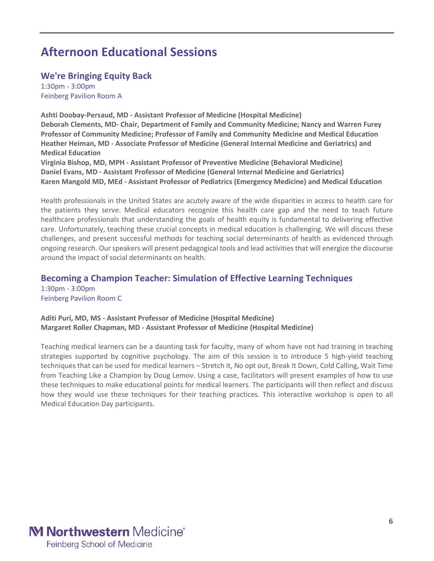# **Afternoon Educational Sessions**

# **We're Bringing Equity Back**

1:30pm - 3:00pm Feinberg Pavilion Room A

**Ashti Doobay-Persaud, MD - Assistant Professor of Medicine (Hospital Medicine) Deborah Clements, MD- Chair, Department of Family and Community Medicine; Nancy and Warren Furey Professor of Community Medicine; Professor of Family and Community Medicine and Medical Education Heather Heiman, MD - Associate Professor of Medicine (General Internal Medicine and Geriatrics) and Medical Education Virginia Bishop, MD, MPH - Assistant Professor of Preventive Medicine (Behavioral Medicine) Daniel Evans, MD - Assistant Professor of Medicine (General Internal Medicine and Geriatrics)**

**Karen Mangold MD, MEd - Assistant Professor of Pediatrics (Emergency Medicine) and Medical Education**

Health professionals in the United States are acutely aware of the wide disparities in access to health care for the patients they serve. Medical educators recognize this health care gap and the need to teach future healthcare professionals that understanding the goals of health equity is fundamental to delivering effective care. Unfortunately, teaching these crucial concepts in medical education is challenging. We will discuss these challenges, and present successful methods for teaching social determinants of health as evidenced through ongoing research. Ourspeakers will present pedagogical tools and lead activities that will energize the discourse around the impact of social determinants on health.

### **Becoming a Champion Teacher: Simulation of Effective Learning Techniques** 1:30pm - 3:00pm Feinberg Pavilion Room C

**Aditi Puri, MD, MS - Assistant Professor of Medicine (Hospital Medicine) Margaret Roller Chapman, MD - Assistant Professor of Medicine (Hospital Medicine)**

Teaching medical learners can be a daunting task for faculty, many of whom have not had training in teaching strategies supported by cognitive psychology. The aim of this session is to introduce 5 high-yield teaching techniques that can be used for medical learners – Stretch it, No opt out, Break It Down, Cold Calling, Wait Time from Teaching Like a Champion by Doug Lemov. Using a case, facilitators will present examples of how to use these techniques to make educational points for medical learners. The participants will then reflect and discuss how they would use these techniques for their teaching practices. This interactive workshop is open to all Medical Education Day participants.

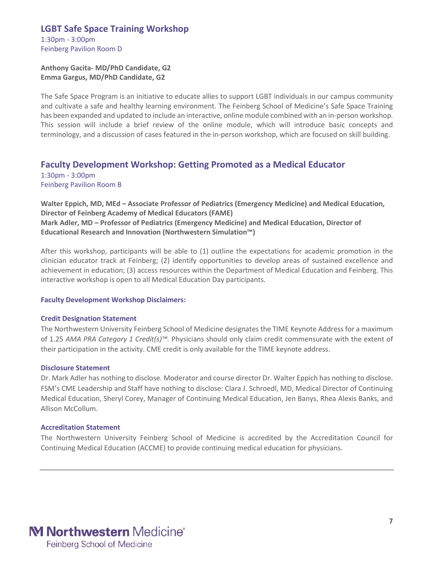## **LGBT Safe Space Training Workshop**

1:30pm - 3:00pm Feinberg Pavilion Room D

#### **Anthony Gacita- MD/PhD Candidate, G2 Emma Gargus, MD/PhD Candidate, G2**

The Safe Space Program is an initiative to educate allies to support LGBT individuals in our campus community and cultivate a safe and healthy learning environment. The Feinberg School of Medicine's Safe Space Training has been expanded and updated to include an interactive, online module combined with an in-person workshop. This session will include a brief review of the online module, which will introduce basic concepts and terminology, and a discussion of cases featured in the in-person workshop, which are focused on skill building.

# **Faculty Development Workshop: Getting Promoted as a Medical Educator**

1:30pm - 3:00pm Feinberg Pavilion Room B

**Walter Eppich, MD, MEd – Associate Professor of Pediatrics (Emergency Medicine) and Medical Education, Director of Feinberg Academy of Medical Educators (FAME) Mark Adler, MD – Professor of Pediatrics (Emergency Medicine) and Medical Education, Director of Educational Research and Innovation (Northwestern Simulation™)**

After this workshop, participants will be able to (1) outline the expectations for academic promotion in the clinician educator track at Feinberg; (2) identify opportunities to develop areas of sustained excellence and achievement in education; (3) access resources within the Department of Medical Education and Feinberg. This interactive workshop is open to all Medical Education Day participants.

#### **Faculty Development Workshop Disclaimers:**

#### **Credit Designation Statement**

The Northwestern University Feinberg School of Medicine designates the TIME Keynote Address for a maximum of 1.25 *AMA PRA Category 1 Credit(s)™.* Physicians should only claim credit commensurate with the extent of their participation in the activity. CME credit is only available for the TIME keynote address.

#### **Disclosure Statement**

Dr. Mark Adler has nothing to disclose. Moderator and course director Dr. Walter Eppich has nothing to disclose. FSM's CME Leadership and Staff have nothing to disclose: Clara J. Schroedl, MD, Medical Director of Continuing Medical Education, Sheryl Corey, Manager of Continuing Medical Education, Jen Banys, Rhea Alexis Banks, and Allison McCollum.

#### **Accreditation Statement**

The Northwestern University Feinberg School of Medicine is accredited by the Accreditation Council for Continuing Medical Education (ACCME) to provide continuing medical education for physicians.